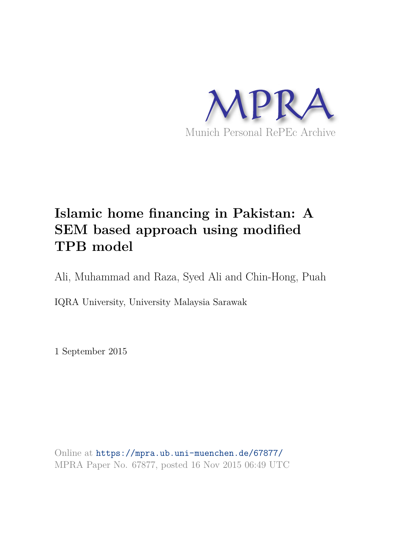

# **Islamic home financing in Pakistan: A SEM based approach using modified TPB model**

Ali, Muhammad and Raza, Syed Ali and Chin-Hong, Puah

IQRA University, University Malaysia Sarawak

1 September 2015

Online at https://mpra.ub.uni-muenchen.de/67877/ MPRA Paper No. 67877, posted 16 Nov 2015 06:49 UTC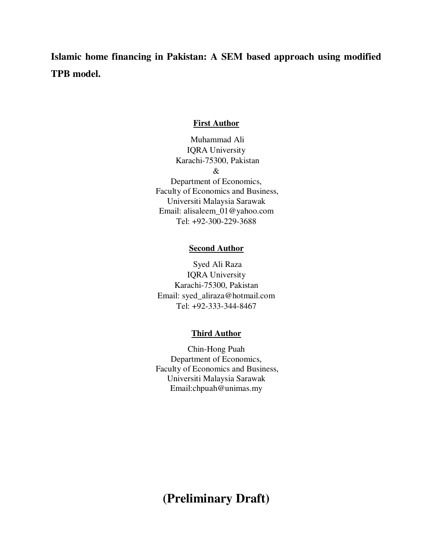**Islamic home financing in Pakistan: A SEM based approach using modified TPB model.** 

#### **First Author**

 Muhammad Ali IQRA University Karachi-75300, Pakistan & Department of Economics, Faculty of Economics and Business, Universiti Malaysia Sarawak Email: [alisaleem\\_01@yahoo.com](mailto:alisaleem_01@yahoo.com)  Tel: +92-300-229-3688

## **Second Author**

 Syed Ali Raza IQRA University Karachi-75300, Pakistan Email: [syed\\_aliraza@hotmail.com](mailto:syed_aliraza@hotmail.com)  Tel: +92-333-344-8467

#### **Third Author**

Chin-Hong Puah Department of Economics, Faculty of Economics and Business, Universiti Malaysia Sarawak Email[:chpuah@unimas.my](mailto:chpuah@unimas.my) 

## **(Preliminary Draft)**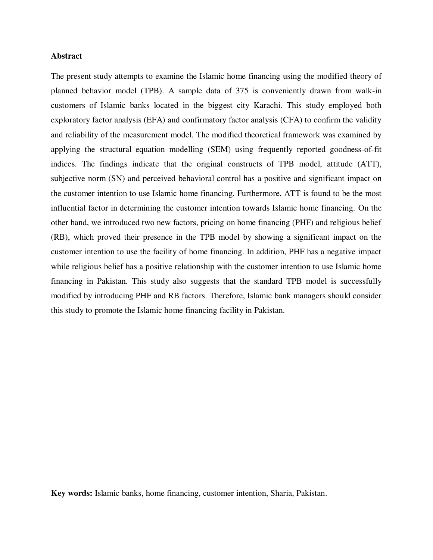## **Abstract**

The present study attempts to examine the Islamic home financing using the modified theory of planned behavior model (TPB). A sample data of 375 is conveniently drawn from walk-in customers of Islamic banks located in the biggest city Karachi. This study employed both exploratory factor analysis (EFA) and confirmatory factor analysis (CFA) to confirm the validity and reliability of the measurement model. The modified theoretical framework was examined by applying the structural equation modelling (SEM) using frequently reported goodness-of-fit indices. The findings indicate that the original constructs of TPB model, attitude (ATT), subjective norm (SN) and perceived behavioral control has a positive and significant impact on the customer intention to use Islamic home financing. Furthermore, ATT is found to be the most influential factor in determining the customer intention towards Islamic home financing. On the other hand, we introduced two new factors, pricing on home financing (PHF) and religious belief (RB), which proved their presence in the TPB model by showing a significant impact on the customer intention to use the facility of home financing. In addition, PHF has a negative impact while religious belief has a positive relationship with the customer intention to use Islamic home financing in Pakistan. This study also suggests that the standard TPB model is successfully modified by introducing PHF and RB factors. Therefore, Islamic bank managers should consider this study to promote the Islamic home financing facility in Pakistan.

**Key words:** Islamic banks, home financing, customer intention, Sharia, Pakistan.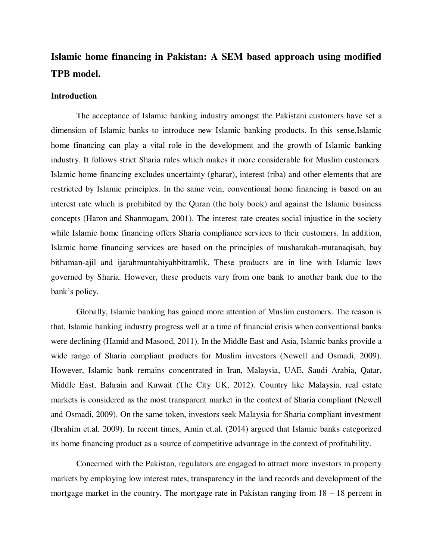## **Islamic home financing in Pakistan: A SEM based approach using modified TPB model.**

## **Introduction**

The acceptance of Islamic banking industry amongst the Pakistani customers have set a dimension of Islamic banks to introduce new Islamic banking products. In this sense,Islamic home financing can play a vital role in the development and the growth of Islamic banking industry. It follows strict Sharia rules which makes it more considerable for Muslim customers. Islamic home financing excludes uncertainty (gharar), interest (riba) and other elements that are restricted by Islamic principles. In the same vein, conventional home financing is based on an interest rate which is prohibited by the Quran (the holy book) and against the Islamic business concepts (Haron and Shanmugam, 2001). The interest rate creates social injustice in the society while Islamic home financing offers Sharia compliance services to their customers. In addition, Islamic home financing services are based on the principles of musharakah-mutanaqisah, bay bithaman-ajil and ijarahmuntahiyahbittamlik. These products are in line with Islamic laws governed by Sharia. However, these products vary from one bank to another bank due to the bank's policy.

 Globally, Islamic banking has gained more attention of Muslim customers. The reason is that, Islamic banking industry progress well at a time of financial crisis when conventional banks were declining (Hamid and Masood, 2011). In the Middle East and Asia, Islamic banks provide a wide range of Sharia compliant products for Muslim investors (Newell and Osmadi, 2009). However, Islamic bank remains concentrated in Iran, Malaysia, UAE, Saudi Arabia, Qatar, Middle East, Bahrain and Kuwait (The City UK, 2012). Country like Malaysia, real estate markets is considered as the most transparent market in the context of Sharia compliant (Newell and Osmadi, 2009). On the same token, investors seek Malaysia for Sharia compliant investment (Ibrahim et.al. 2009). In recent times, Amin et.al. (2014) argued that Islamic banks categorized its home financing product as a source of competitive advantage in the context of profitability.

 Concerned with the Pakistan, regulators are engaged to attract more investors in property markets by employing low interest rates, transparency in the land records and development of the mortgage market in the country. The mortgage rate in Pakistan ranging from 18 – 18 percent in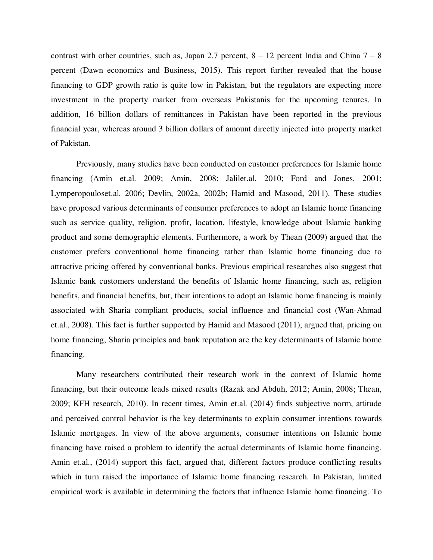contrast with other countries, such as, Japan 2.7 percent,  $8 - 12$  percent India and China  $7 - 8$ percent (Dawn economics and Business, 2015). This report further revealed that the house financing to GDP growth ratio is quite low in Pakistan, but the regulators are expecting more investment in the property market from overseas Pakistanis for the upcoming tenures. In addition, 16 billion dollars of remittances in Pakistan have been reported in the previous financial year, whereas around 3 billion dollars of amount directly injected into property market of Pakistan.

 Previously, many studies have been conducted on customer preferences for Islamic home financing (Amin et.al. 2009; Amin, 2008; Jalilet.al. 2010; Ford and Jones, 2001; Lymperopouloset.al. 2006; Devlin, 2002a, 2002b; Hamid and Masood, 2011). These studies have proposed various determinants of consumer preferences to adopt an Islamic home financing such as service quality, religion, profit, location, lifestyle, knowledge about Islamic banking product and some demographic elements. Furthermore, a work by Thean (2009) argued that the customer prefers conventional home financing rather than Islamic home financing due to attractive pricing offered by conventional banks. Previous empirical researches also suggest that Islamic bank customers understand the benefits of Islamic home financing, such as, religion benefits, and financial benefits, but, their intentions to adopt an Islamic home financing is mainly associated with Sharia compliant products, social influence and financial cost (Wan-Ahmad et.al., 2008). This fact is further supported by Hamid and Masood (2011), argued that, pricing on home financing, Sharia principles and bank reputation are the key determinants of Islamic home financing.

 Many researchers contributed their research work in the context of Islamic home financing, but their outcome leads mixed results (Razak and Abduh, 2012; Amin, 2008; Thean, 2009; KFH research, 2010). In recent times, Amin et.al. (2014) finds subjective norm, attitude and perceived control behavior is the key determinants to explain consumer intentions towards Islamic mortgages. In view of the above arguments, consumer intentions on Islamic home financing have raised a problem to identify the actual determinants of Islamic home financing. Amin et.al., (2014) support this fact, argued that, different factors produce conflicting results which in turn raised the importance of Islamic home financing research. In Pakistan, limited empirical work is available in determining the factors that influence Islamic home financing. To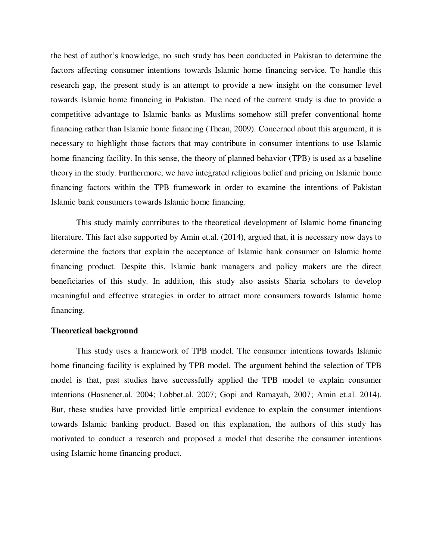the best of author's knowledge, no such study has been conducted in Pakistan to determine the factors affecting consumer intentions towards Islamic home financing service. To handle this research gap, the present study is an attempt to provide a new insight on the consumer level towards Islamic home financing in Pakistan. The need of the current study is due to provide a competitive advantage to Islamic banks as Muslims somehow still prefer conventional home financing rather than Islamic home financing (Thean, 2009). Concerned about this argument, it is necessary to highlight those factors that may contribute in consumer intentions to use Islamic home financing facility. In this sense, the theory of planned behavior (TPB) is used as a baseline theory in the study. Furthermore, we have integrated religious belief and pricing on Islamic home financing factors within the TPB framework in order to examine the intentions of Pakistan Islamic bank consumers towards Islamic home financing.

 This study mainly contributes to the theoretical development of Islamic home financing literature. This fact also supported by Amin et.al. (2014), argued that, it is necessary now days to determine the factors that explain the acceptance of Islamic bank consumer on Islamic home financing product. Despite this, Islamic bank managers and policy makers are the direct beneficiaries of this study. In addition, this study also assists Sharia scholars to develop meaningful and effective strategies in order to attract more consumers towards Islamic home financing.

#### **Theoretical background**

This study uses a framework of TPB model. The consumer intentions towards Islamic home financing facility is explained by TPB model. The argument behind the selection of TPB model is that, past studies have successfully applied the TPB model to explain consumer intentions (Hasnenet.al. 2004; Lobbet.al. 2007; Gopi and Ramayah, 2007; Amin et.al. 2014). But, these studies have provided little empirical evidence to explain the consumer intentions towards Islamic banking product. Based on this explanation, the authors of this study has motivated to conduct a research and proposed a model that describe the consumer intentions using Islamic home financing product.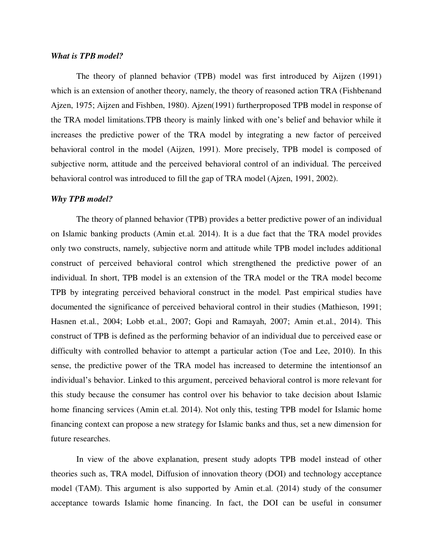## *What is TPB model?*

The theory of planned behavior (TPB) model was first introduced by Aijzen (1991) which is an extension of another theory, namely, the theory of reasoned action TRA (Fishbenand Ajzen, 1975; Aijzen and Fishben, 1980). Ajzen(1991) furtherproposed TPB model in response of the TRA model limitations.TPB theory is mainly linked with one's belief and behavior while it increases the predictive power of the TRA model by integrating a new factor of perceived behavioral control in the model (Aijzen, 1991). More precisely, TPB model is composed of subjective norm, attitude and the perceived behavioral control of an individual. The perceived behavioral control was introduced to fill the gap of TRA model (Ajzen, 1991, 2002).

#### *Why TPB model?*

 The theory of planned behavior (TPB) provides a better predictive power of an individual on Islamic banking products (Amin et.al. 2014). It is a due fact that the TRA model provides only two constructs, namely, subjective norm and attitude while TPB model includes additional construct of perceived behavioral control which strengthened the predictive power of an individual. In short, TPB model is an extension of the TRA model or the TRA model become TPB by integrating perceived behavioral construct in the model. Past empirical studies have documented the significance of perceived behavioral control in their studies (Mathieson, 1991; Hasnen et.al., 2004; Lobb et.al., 2007; Gopi and Ramayah, 2007; Amin et.al., 2014). This construct of TPB is defined as the performing behavior of an individual due to perceived ease or difficulty with controlled behavior to attempt a particular action (Toe and Lee, 2010). In this sense, the predictive power of the TRA model has increased to determine the intentionsof an individual's behavior. Linked to this argument, perceived behavioral control is more relevant for this study because the consumer has control over his behavior to take decision about Islamic home financing services (Amin et.al. 2014). Not only this, testing TPB model for Islamic home financing context can propose a new strategy for Islamic banks and thus, set a new dimension for future researches.

 In view of the above explanation, present study adopts TPB model instead of other theories such as, TRA model, Diffusion of innovation theory (DOI) and technology acceptance model (TAM). This argument is also supported by Amin et.al. (2014) study of the consumer acceptance towards Islamic home financing. In fact, the DOI can be useful in consumer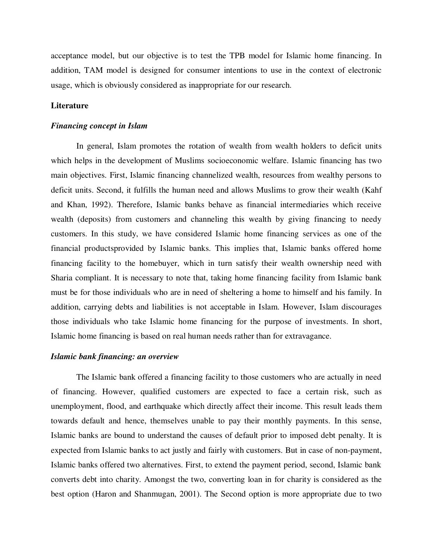acceptance model, but our objective is to test the TPB model for Islamic home financing. In addition, TAM model is designed for consumer intentions to use in the context of electronic usage, which is obviously considered as inappropriate for our research.

#### **Literature**

## *Financing concept in Islam*

In general, Islam promotes the rotation of wealth from wealth holders to deficit units which helps in the development of Muslims socioeconomic welfare. Islamic financing has two main objectives. First, Islamic financing channelized wealth, resources from wealthy persons to deficit units. Second, it fulfills the human need and allows Muslims to grow their wealth (Kahf and Khan, 1992). Therefore, Islamic banks behave as financial intermediaries which receive wealth (deposits) from customers and channeling this wealth by giving financing to needy customers. In this study, we have considered Islamic home financing services as one of the financial productsprovided by Islamic banks. This implies that, Islamic banks offered home financing facility to the homebuyer, which in turn satisfy their wealth ownership need with Sharia compliant. It is necessary to note that, taking home financing facility from Islamic bank must be for those individuals who are in need of sheltering a home to himself and his family. In addition, carrying debts and liabilities is not acceptable in Islam. However, Islam discourages those individuals who take Islamic home financing for the purpose of investments. In short, Islamic home financing is based on real human needs rather than for extravagance.

#### *Islamic bank financing: an overview*

 The Islamic bank offered a financing facility to those customers who are actually in need of financing. However, qualified customers are expected to face a certain risk, such as unemployment, flood, and earthquake which directly affect their income. This result leads them towards default and hence, themselves unable to pay their monthly payments. In this sense, Islamic banks are bound to understand the causes of default prior to imposed debt penalty. It is expected from Islamic banks to act justly and fairly with customers. But in case of non-payment, Islamic banks offered two alternatives. First, to extend the payment period, second, Islamic bank converts debt into charity. Amongst the two, converting loan in for charity is considered as the best option (Haron and Shanmugan, 2001). The Second option is more appropriate due to two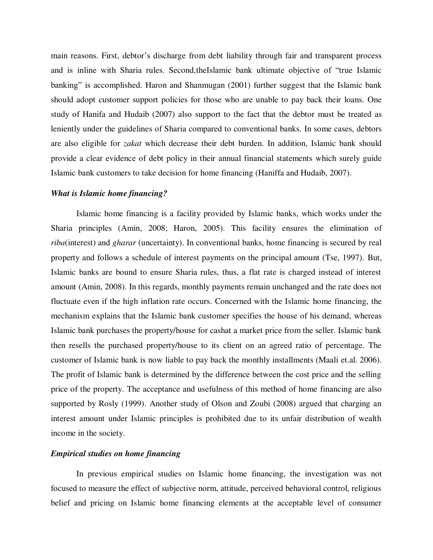main reasons. First, debtor's discharge from debt liability through fair and transparent process and is inline with Sharia rules. Second,theIslamic bank ultimate objective of "true Islamic banking" is accomplished. Haron and Shanmugan (2001) further suggest that the Islamic bank should adopt customer support policies for those who are unable to pay back their loans. One study of Hanifa and Hudaib (2007) also support to the fact that the debtor must be treated as leniently under the guidelines of Sharia compared to conventional banks. In some cases, debtors are also eligible for *zakat* which decrease their debt burden. In addition, Islamic bank should provide a clear evidence of debt policy in their annual financial statements which surely guide Islamic bank customers to take decision for home financing (Haniffa and Hudaib, 2007).

#### *What is Islamic home financing?*

Islamic home financing is a facility provided by Islamic banks, which works under the Sharia principles (Amin, 2008; Haron, 2005). This facility ensures the elimination of *riba*(interest) and *gharar* (uncertainty). In conventional banks, home financing is secured by real property and follows a schedule of interest payments on the principal amount (Tse, 1997). But, Islamic banks are bound to ensure Sharia rules, thus, a flat rate is charged instead of interest amount (Amin, 2008). In this regards, monthly payments remain unchanged and the rate does not fluctuate even if the high inflation rate occurs. Concerned with the Islamic home financing, the mechanism explains that the Islamic bank customer specifies the house of his demand, whereas Islamic bank purchases the property/house for cashat a market price from the seller. Islamic bank then resells the purchased property/house to its client on an agreed ratio of percentage. The customer of Islamic bank is now liable to pay back the monthly installments (Maali et.al. 2006). The profit of Islamic bank is determined by the difference between the cost price and the selling price of the property. The acceptance and usefulness of this method of home financing are also supported by Rosly (1999). Another study of Olson and Zoubi (2008) argued that charging an interest amount under Islamic principles is prohibited due to its unfair distribution of wealth income in the society.

## *Empirical studies on home financing*

In previous empirical studies on Islamic home financing, the investigation was not focused to measure the effect of subjective norm, attitude, perceived behavioral control, religious belief and pricing on Islamic home financing elements at the acceptable level of consumer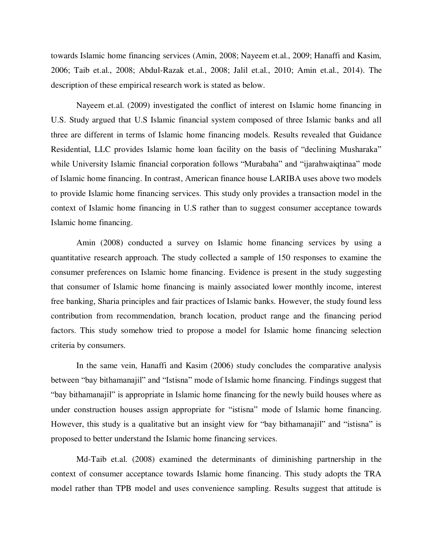towards Islamic home financing services (Amin, 2008; Nayeem et.al., 2009; Hanaffi and Kasim, 2006; Taib et.al., 2008; Abdul-Razak et.al., 2008; Jalil et.al., 2010; Amin et.al., 2014). The description of these empirical research work is stated as below.

Nayeem et.al. (2009) investigated the conflict of interest on Islamic home financing in U.S. Study argued that U.S Islamic financial system composed of three Islamic banks and all three are different in terms of Islamic home financing models. Results revealed that Guidance Residential, LLC provides Islamic home loan facility on the basis of "declining Musharaka" while University Islamic financial corporation follows "Murabaha" and "ijarahwaiqtinaa" mode of Islamic home financing. In contrast, American finance house LARIBA uses above two models to provide Islamic home financing services. This study only provides a transaction model in the context of Islamic home financing in U.S rather than to suggest consumer acceptance towards Islamic home financing.

 Amin (2008) conducted a survey on Islamic home financing services by using a quantitative research approach. The study collected a sample of 150 responses to examine the consumer preferences on Islamic home financing. Evidence is present in the study suggesting that consumer of Islamic home financing is mainly associated lower monthly income, interest free banking, Sharia principles and fair practices of Islamic banks. However, the study found less contribution from recommendation, branch location, product range and the financing period factors. This study somehow tried to propose a model for Islamic home financing selection criteria by consumers.

 In the same vein, Hanaffi and Kasim (2006) study concludes the comparative analysis between "bay bithamanajil" and "Istisna" mode of Islamic home financing. Findings suggest that "bay bithamanajil" is appropriate in Islamic home financing for the newly build houses where as under construction houses assign appropriate for "istisna" mode of Islamic home financing. However, this study is a qualitative but an insight view for "bay bithamanajil" and "istisna" is proposed to better understand the Islamic home financing services.

Md-Taib et.al. (2008) examined the determinants of diminishing partnership in the context of consumer acceptance towards Islamic home financing. This study adopts the TRA model rather than TPB model and uses convenience sampling. Results suggest that attitude is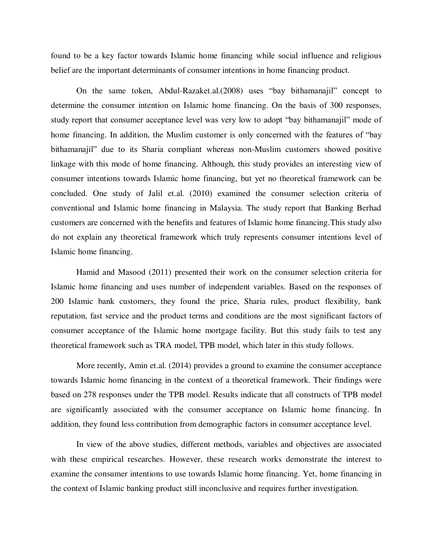found to be a key factor towards Islamic home financing while social influence and religious belief are the important determinants of consumer intentions in home financing product.

 On the same token, Abdul-Razaket.al.(2008) uses "bay bithamanajil" concept to determine the consumer intention on Islamic home financing. On the basis of 300 responses, study report that consumer acceptance level was very low to adopt "bay bithamanajil" mode of home financing. In addition, the Muslim customer is only concerned with the features of "bay bithamanajil" due to its Sharia compliant whereas non-Muslim customers showed positive linkage with this mode of home financing. Although, this study provides an interesting view of consumer intentions towards Islamic home financing, but yet no theoretical framework can be concluded. One study of Jalil et.al. (2010) examined the consumer selection criteria of conventional and Islamic home financing in Malaysia. The study report that Banking Berhad customers are concerned with the benefits and features of Islamic home financing.This study also do not explain any theoretical framework which truly represents consumer intentions level of Islamic home financing.

 Hamid and Masood (2011) presented their work on the consumer selection criteria for Islamic home financing and uses number of independent variables. Based on the responses of 200 Islamic bank customers, they found the price, Sharia rules, product flexibility, bank reputation, fast service and the product terms and conditions are the most significant factors of consumer acceptance of the Islamic home mortgage facility. But this study fails to test any theoretical framework such as TRA model, TPB model, which later in this study follows.

 More recently, Amin et.al. (2014) provides a ground to examine the consumer acceptance towards Islamic home financing in the context of a theoretical framework. Their findings were based on 278 responses under the TPB model. Results indicate that all constructs of TPB model are significantly associated with the consumer acceptance on Islamic home financing. In addition, they found less contribution from demographic factors in consumer acceptance level.

 In view of the above studies, different methods, variables and objectives are associated with these empirical researches. However, these research works demonstrate the interest to examine the consumer intentions to use towards Islamic home financing. Yet, home financing in the context of Islamic banking product still inconclusive and requires further investigation.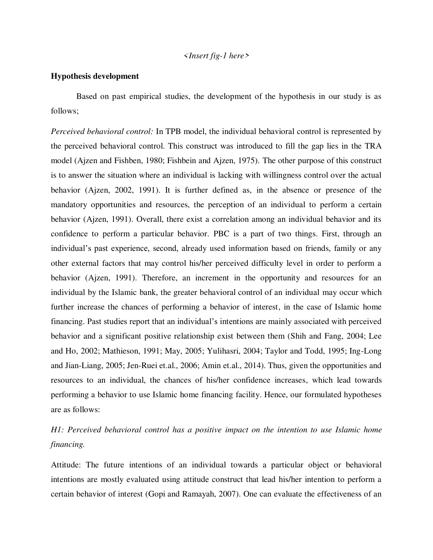## *<Insert fig-1 here>*

## **Hypothesis development**

Based on past empirical studies, the development of the hypothesis in our study is as follows;

*Perceived behavioral control:* In TPB model, the individual behavioral control is represented by the perceived behavioral control. This construct was introduced to fill the gap lies in the TRA model (Ajzen and Fishben, 1980; Fishbein and Ajzen, 1975). The other purpose of this construct is to answer the situation where an individual is lacking with willingness control over the actual behavior (Ajzen, 2002, 1991). It is further defined as, in the absence or presence of the mandatory opportunities and resources, the perception of an individual to perform a certain behavior (Ajzen, 1991). Overall, there exist a correlation among an individual behavior and its confidence to perform a particular behavior. PBC is a part of two things. First, through an individual's past experience, second, already used information based on friends, family or any other external factors that may control his/her perceived difficulty level in order to perform a behavior (Ajzen, 1991). Therefore, an increment in the opportunity and resources for an individual by the Islamic bank, the greater behavioral control of an individual may occur which further increase the chances of performing a behavior of interest, in the case of Islamic home financing. Past studies report that an individual's intentions are mainly associated with perceived behavior and a significant positive relationship exist between them (Shih and Fang, 2004; Lee and Ho, 2002; Mathieson, 1991; May, 2005; Yulihasri, 2004; Taylor and Todd, 1995; Ing-Long and Jian-Liang, 2005; Jen-Ruei et.al., 2006; Amin et.al., 2014). Thus, given the opportunities and resources to an individual, the chances of his/her confidence increases, which lead towards performing a behavior to use Islamic home financing facility. Hence, our formulated hypotheses are as follows:

## *H1: Perceived behavioral control has a positive impact on the intention to use Islamic home financing.*

Attitude: The future intentions of an individual towards a particular object or behavioral intentions are mostly evaluated using attitude construct that lead his/her intention to perform a certain behavior of interest (Gopi and Ramayah, 2007). One can evaluate the effectiveness of an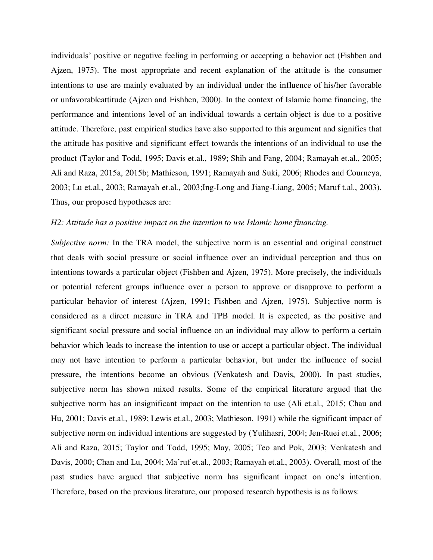individuals' positive or negative feeling in performing or accepting a behavior act (Fishben and Ajzen, 1975). The most appropriate and recent explanation of the attitude is the consumer intentions to use are mainly evaluated by an individual under the influence of his/her favorable or unfavorableattitude (Ajzen and Fishben, 2000). In the context of Islamic home financing, the performance and intentions level of an individual towards a certain object is due to a positive attitude. Therefore, past empirical studies have also supported to this argument and signifies that the attitude has positive and significant effect towards the intentions of an individual to use the product (Taylor and Todd, 1995; Davis et.al., 1989; Shih and Fang, 2004; Ramayah et.al., 2005; Ali and Raza, 2015a, 2015b; Mathieson, 1991; Ramayah and Suki, 2006; Rhodes and Courneya, 2003; Lu et.al., 2003; Ramayah et.al., 2003;Ing-Long and Jiang-Liang, 2005; Maruf t.al., 2003). Thus, our proposed hypotheses are:

#### *H2: Attitude has a positive impact on the intention to use Islamic home financing.*

*Subjective norm:* In the TRA model, the subjective norm is an essential and original construct that deals with social pressure or social influence over an individual perception and thus on intentions towards a particular object (Fishben and Ajzen, 1975). More precisely, the individuals or potential referent groups influence over a person to approve or disapprove to perform a particular behavior of interest (Ajzen, 1991; Fishben and Ajzen, 1975). Subjective norm is considered as a direct measure in TRA and TPB model. It is expected, as the positive and significant social pressure and social influence on an individual may allow to perform a certain behavior which leads to increase the intention to use or accept a particular object. The individual may not have intention to perform a particular behavior, but under the influence of social pressure, the intentions become an obvious (Venkatesh and Davis, 2000). In past studies, subjective norm has shown mixed results. Some of the empirical literature argued that the subjective norm has an insignificant impact on the intention to use (Ali et.al., 2015; Chau and Hu, 2001; Davis et.al., 1989; Lewis et.al., 2003; Mathieson, 1991) while the significant impact of subjective norm on individual intentions are suggested by (Yulihasri, 2004; Jen-Ruei et.al., 2006; Ali and Raza, 2015; Taylor and Todd, 1995; May, 2005; Teo and Pok, 2003; Venkatesh and Davis, 2000; Chan and Lu, 2004; Ma'ruf et.al., 2003; Ramayah et.al., 2003). Overall, most of the past studies have argued that subjective norm has significant impact on one's intention. Therefore, based on the previous literature, our proposed research hypothesis is as follows: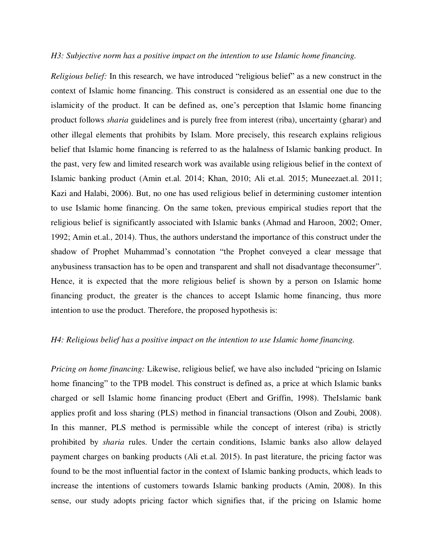#### *H3: Subjective norm has a positive impact on the intention to use Islamic home financing.*

*Religious belief:* In this research, we have introduced "religious belief" as a new construct in the context of Islamic home financing. This construct is considered as an essential one due to the islamicity of the product. It can be defined as, one's perception that Islamic home financing product follows *sharia* guidelines and is purely free from interest (riba), uncertainty (gharar) and other illegal elements that prohibits by Islam. More precisely, this research explains religious belief that Islamic home financing is referred to as the halalness of Islamic banking product. In the past, very few and limited research work was available using religious belief in the context of Islamic banking product (Amin et.al. 2014; Khan, 2010; Ali et.al. 2015; Muneezaet.al. 2011; Kazi and Halabi, 2006). But, no one has used religious belief in determining customer intention to use Islamic home financing. On the same token, previous empirical studies report that the religious belief is significantly associated with Islamic banks (Ahmad and Haroon, 2002; Omer, 1992; Amin et.al., 2014). Thus, the authors understand the importance of this construct under the shadow of Prophet Muhammad's connotation "the Prophet conveyed a clear message that anybusiness transaction has to be open and transparent and shall not disadvantage theconsumer". Hence, it is expected that the more religious belief is shown by a person on Islamic home financing product, the greater is the chances to accept Islamic home financing, thus more intention to use the product. Therefore, the proposed hypothesis is:

#### *H4: Religious belief has a positive impact on the intention to use Islamic home financing.*

*Pricing on home financing:* Likewise, religious belief, we have also included "pricing on Islamic home financing" to the TPB model. This construct is defined as, a price at which Islamic banks charged or sell Islamic home financing product (Ebert and Griffin, 1998). TheIslamic bank applies profit and loss sharing (PLS) method in financial transactions (Olson and Zoubi, 2008). In this manner, PLS method is permissible while the concept of interest (riba) is strictly prohibited by *sharia* rules. Under the certain conditions, Islamic banks also allow delayed payment charges on banking products (Ali et.al. 2015). In past literature, the pricing factor was found to be the most influential factor in the context of Islamic banking products, which leads to increase the intentions of customers towards Islamic banking products (Amin, 2008). In this sense, our study adopts pricing factor which signifies that, if the pricing on Islamic home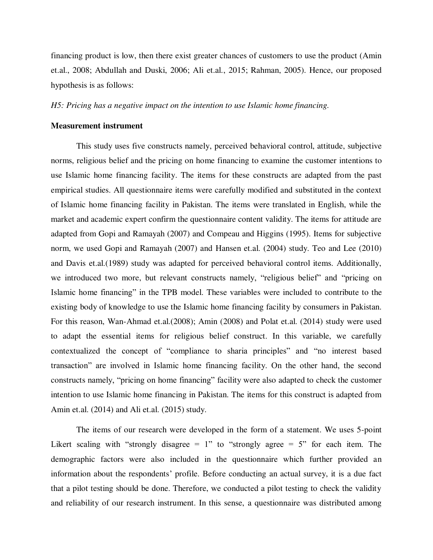financing product is low, then there exist greater chances of customers to use the product (Amin et.al., 2008; Abdullah and Duski, 2006; Ali et.al., 2015; Rahman, 2005). Hence, our proposed hypothesis is as follows:

#### *H5: Pricing has a negative impact on the intention to use Islamic home financing.*

## **Measurement instrument**

This study uses five constructs namely, perceived behavioral control, attitude, subjective norms, religious belief and the pricing on home financing to examine the customer intentions to use Islamic home financing facility. The items for these constructs are adapted from the past empirical studies. All questionnaire items were carefully modified and substituted in the context of Islamic home financing facility in Pakistan. The items were translated in English, while the market and academic expert confirm the questionnaire content validity. The items for attitude are adapted from Gopi and Ramayah (2007) and Compeau and Higgins (1995). Items for subjective norm, we used Gopi and Ramayah (2007) and Hansen et.al. (2004) study. Teo and Lee (2010) and Davis et.al.(1989) study was adapted for perceived behavioral control items. Additionally, we introduced two more, but relevant constructs namely, "religious belief" and "pricing on Islamic home financing" in the TPB model. These variables were included to contribute to the existing body of knowledge to use the Islamic home financing facility by consumers in Pakistan. For this reason, Wan-Ahmad et.al.(2008); Amin (2008) and Polat et.al. (2014) study were used to adapt the essential items for religious belief construct. In this variable, we carefully contextualized the concept of "compliance to sharia principles" and "no interest based transaction" are involved in Islamic home financing facility. On the other hand, the second constructs namely, "pricing on home financing" facility were also adapted to check the customer intention to use Islamic home financing in Pakistan. The items for this construct is adapted from Amin et.al. (2014) and Ali et.al. (2015) study.

 The items of our research were developed in the form of a statement. We uses 5-point Likert scaling with "strongly disagree  $= 1$ " to "strongly agree  $= 5$ " for each item. The demographic factors were also included in the questionnaire which further provided an information about the respondents' profile. Before conducting an actual survey, it is a due fact that a pilot testing should be done. Therefore, we conducted a pilot testing to check the validity and reliability of our research instrument. In this sense, a questionnaire was distributed among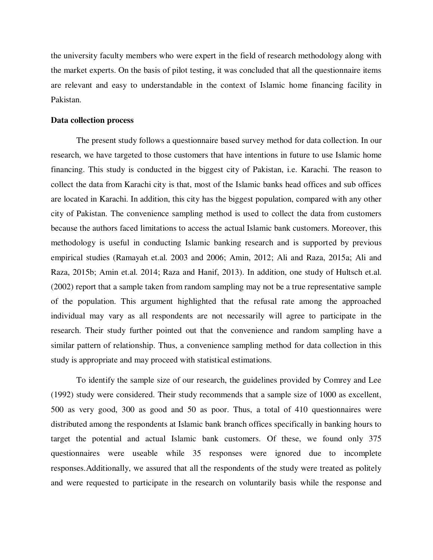the university faculty members who were expert in the field of research methodology along with the market experts. On the basis of pilot testing, it was concluded that all the questionnaire items are relevant and easy to understandable in the context of Islamic home financing facility in Pakistan.

## **Data collection process**

The present study follows a questionnaire based survey method for data collection. In our research, we have targeted to those customers that have intentions in future to use Islamic home financing. This study is conducted in the biggest city of Pakistan, i.e. Karachi. The reason to collect the data from Karachi city is that, most of the Islamic banks head offices and sub offices are located in Karachi. In addition, this city has the biggest population, compared with any other city of Pakistan. The convenience sampling method is used to collect the data from customers because the authors faced limitations to access the actual Islamic bank customers. Moreover, this methodology is useful in conducting Islamic banking research and is supported by previous empirical studies (Ramayah et.al. 2003 and 2006; Amin, 2012; Ali and Raza, 2015a; Ali and Raza, 2015b; Amin et.al. 2014; Raza and Hanif, 2013). In addition, one study of Hultsch et.al. (2002) report that a sample taken from random sampling may not be a true representative sample of the population. This argument highlighted that the refusal rate among the approached individual may vary as all respondents are not necessarily will agree to participate in the research. Their study further pointed out that the convenience and random sampling have a similar pattern of relationship. Thus, a convenience sampling method for data collection in this study is appropriate and may proceed with statistical estimations.

To identify the sample size of our research, the guidelines provided by Comrey and Lee (1992) study were considered. Their study recommends that a sample size of 1000 as excellent, 500 as very good, 300 as good and 50 as poor. Thus, a total of 410 questionnaires were distributed among the respondents at Islamic bank branch offices specifically in banking hours to target the potential and actual Islamic bank customers. Of these, we found only 375 questionnaires were useable while 35 responses were ignored due to incomplete responses.Additionally, we assured that all the respondents of the study were treated as politely and were requested to participate in the research on voluntarily basis while the response and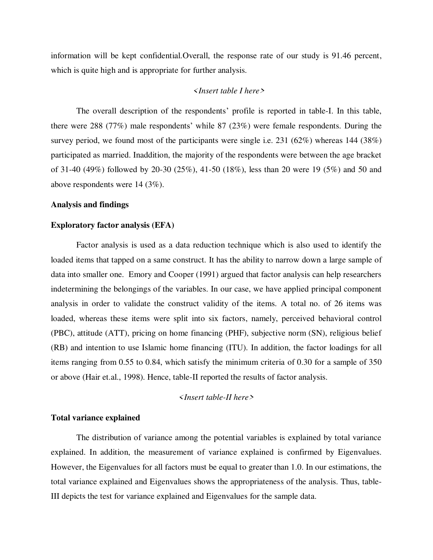information will be kept confidential.Overall, the response rate of our study is 91.46 percent, which is quite high and is appropriate for further analysis.

## *<Insert table I here>*

The overall description of the respondents' profile is reported in table-I. In this table, there were 288 (77%) male respondents' while 87 (23%) were female respondents. During the survey period, we found most of the participants were single i.e.  $231 (62\%)$  whereas 144 (38%) participated as married. Inaddition, the majority of the respondents were between the age bracket of 31-40 (49%) followed by 20-30 (25%), 41-50 (18%), less than 20 were 19 (5%) and 50 and above respondents were 14 (3%).

#### **Analysis and findings**

#### **Exploratory factor analysis (EFA)**

Factor analysis is used as a data reduction technique which is also used to identify the loaded items that tapped on a same construct. It has the ability to narrow down a large sample of data into smaller one. Emory and Cooper (1991) argued that factor analysis can help researchers indetermining the belongings of the variables. In our case, we have applied principal component analysis in order to validate the construct validity of the items. A total no. of 26 items was loaded, whereas these items were split into six factors, namely, perceived behavioral control (PBC), attitude (ATT), pricing on home financing (PHF), subjective norm (SN), religious belief (RB) and intention to use Islamic home financing (ITU). In addition, the factor loadings for all items ranging from 0.55 to 0.84, which satisfy the minimum criteria of 0.30 for a sample of 350 or above (Hair et.al., 1998). Hence, table-II reported the results of factor analysis.

## *<Insert table-II here>*

#### **Total variance explained**

The distribution of variance among the potential variables is explained by total variance explained. In addition, the measurement of variance explained is confirmed by Eigenvalues. However, the Eigenvalues for all factors must be equal to greater than 1.0. In our estimations, the total variance explained and Eigenvalues shows the appropriateness of the analysis. Thus, table-III depicts the test for variance explained and Eigenvalues for the sample data.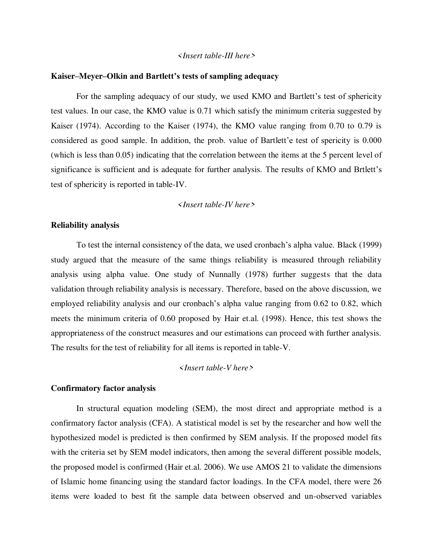#### *<Insert table-III here>*

#### **Kaiser–Meyer–Olkin and Bartlett's tests of sampling adequacy**

For the sampling adequacy of our study, we used KMO and Bartlett's test of sphericity test values. In our case, the KMO value is 0.71 which satisfy the minimum criteria suggested by Kaiser (1974). According to the Kaiser (1974), the KMO value ranging from 0.70 to 0.79 is considered as good sample. In addition, the prob. value of Bartlett'e test of spericity is 0.000 (which is less than 0.05) indicating that the correlation between the items at the 5 percent level of significance is sufficient and is adequate for further analysis. The results of KMO and Brtlett's test of sphericity is reported in table-IV.

#### *<Insert table-IV here>*

## **Reliability analysis**

To test the internal consistency of the data, we used cronbach's alpha value. Black (1999) study argued that the measure of the same things reliability is measured through reliability analysis using alpha value. One study of Nunnally (1978) further suggests that the data validation through reliability analysis is necessary. Therefore, based on the above discussion, we employed reliability analysis and our cronbach's alpha value ranging from 0.62 to 0.82, which meets the minimum criteria of 0.60 proposed by Hair et.al. (1998). Hence, this test shows the appropriateness of the construct measures and our estimations can proceed with further analysis. The results for the test of reliability for all items is reported in table-V.

#### *<Insert table-V here>*

#### **Confirmatory factor analysis**

In structural equation modeling (SEM), the most direct and appropriate method is a confirmatory factor analysis (CFA). A statistical model is set by the researcher and how well the hypothesized model is predicted is then confirmed by SEM analysis. If the proposed model fits with the criteria set by SEM model indicators, then among the several different possible models, the proposed model is confirmed (Hair et.al. 2006). We use AMOS 21 to validate the dimensions of Islamic home financing using the standard factor loadings. In the CFA model, there were 26 items were loaded to best fit the sample data between observed and un-observed variables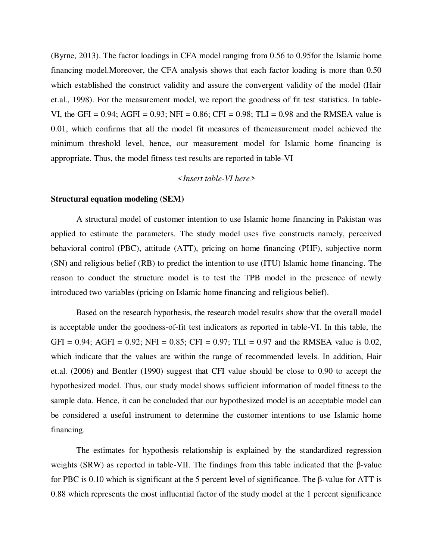(Byrne, 2013). The factor loadings in CFA model ranging from 0.56 to 0.95for the Islamic home financing model.Moreover, the CFA analysis shows that each factor loading is more than 0.50 which established the construct validity and assure the convergent validity of the model (Hair et.al., 1998). For the measurement model, we report the goodness of fit test statistics. In table-VI, the GFI =  $0.94$ ; AGFI =  $0.93$ ; NFI =  $0.86$ ; CFI =  $0.98$ ; TLI =  $0.98$  and the RMSEA value is 0.01, which confirms that all the model fit measures of themeasurement model achieved the minimum threshold level, hence, our measurement model for Islamic home financing is appropriate. Thus, the model fitness test results are reported in table-VI

## *<Insert table-VI here>*

#### **Structural equation modeling (SEM)**

A structural model of customer intention to use Islamic home financing in Pakistan was applied to estimate the parameters. The study model uses five constructs namely, perceived behavioral control (PBC), attitude (ATT), pricing on home financing (PHF), subjective norm (SN) and religious belief (RB) to predict the intention to use (ITU) Islamic home financing. The reason to conduct the structure model is to test the TPB model in the presence of newly introduced two variables (pricing on Islamic home financing and religious belief).

 Based on the research hypothesis, the research model results show that the overall model is acceptable under the goodness-of-fit test indicators as reported in table-VI. In this table, the GFI = 0.94; AGFI = 0.92; NFI = 0.85; CFI = 0.97; TLI = 0.97 and the RMSEA value is 0.02, which indicate that the values are within the range of recommended levels. In addition, Hair et.al. (2006) and Bentler (1990) suggest that CFI value should be close to 0.90 to accept the hypothesized model. Thus, our study model shows sufficient information of model fitness to the sample data. Hence, it can be concluded that our hypothesized model is an acceptable model can be considered a useful instrument to determine the customer intentions to use Islamic home financing.

 The estimates for hypothesis relationship is explained by the standardized regression weights (SRW) as reported in table-VII. The findings from this table indicated that the β-value for PBC is 0.10 which is significant at the 5 percent level of significance. The β-value for ATT is 0.88 which represents the most influential factor of the study model at the 1 percent significance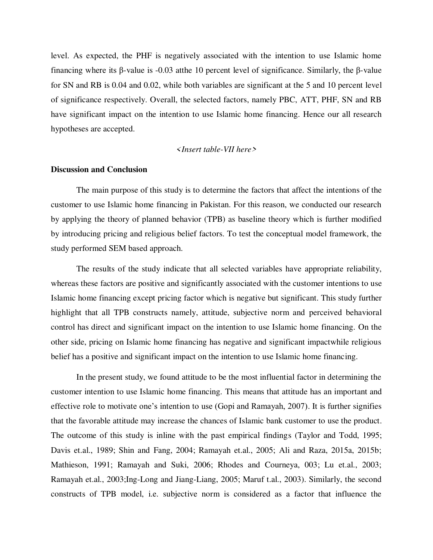level. As expected, the PHF is negatively associated with the intention to use Islamic home financing where its β-value is -0.03 atthe 10 percent level of significance. Similarly, the β-value for SN and RB is 0.04 and 0.02, while both variables are significant at the 5 and 10 percent level of significance respectively. Overall, the selected factors, namely PBC, ATT, PHF, SN and RB have significant impact on the intention to use Islamic home financing. Hence our all research hypotheses are accepted.

## *<Insert table-VII here>*

#### **Discussion and Conclusion**

The main purpose of this study is to determine the factors that affect the intentions of the customer to use Islamic home financing in Pakistan. For this reason, we conducted our research by applying the theory of planned behavior (TPB) as baseline theory which is further modified by introducing pricing and religious belief factors. To test the conceptual model framework, the study performed SEM based approach.

 The results of the study indicate that all selected variables have appropriate reliability, whereas these factors are positive and significantly associated with the customer intentions to use Islamic home financing except pricing factor which is negative but significant. This study further highlight that all TPB constructs namely, attitude, subjective norm and perceived behavioral control has direct and significant impact on the intention to use Islamic home financing. On the other side, pricing on Islamic home financing has negative and significant impactwhile religious belief has a positive and significant impact on the intention to use Islamic home financing.

 In the present study, we found attitude to be the most influential factor in determining the customer intention to use Islamic home financing. This means that attitude has an important and effective role to motivate one's intention to use (Gopi and Ramayah, 2007). It is further signifies that the favorable attitude may increase the chances of Islamic bank customer to use the product. The outcome of this study is inline with the past empirical findings (Taylor and Todd, 1995; Davis et.al., 1989; Shin and Fang, 2004; Ramayah et.al., 2005; Ali and Raza, 2015a, 2015b; Mathieson, 1991; Ramayah and Suki, 2006; Rhodes and Courneya, 003; Lu et.al., 2003; Ramayah et.al., 2003;Ing-Long and Jiang-Liang, 2005; Maruf t.al., 2003). Similarly, the second constructs of TPB model, i.e. subjective norm is considered as a factor that influence the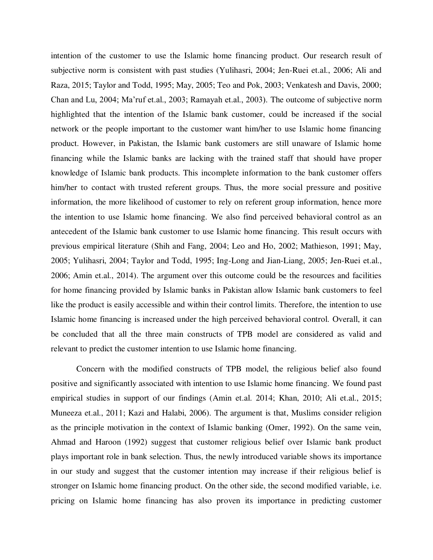intention of the customer to use the Islamic home financing product. Our research result of subjective norm is consistent with past studies (Yulihasri, 2004; Jen-Ruei et.al., 2006; Ali and Raza, 2015; Taylor and Todd, 1995; May, 2005; Teo and Pok, 2003; Venkatesh and Davis, 2000; Chan and Lu, 2004; Ma'ruf et.al., 2003; Ramayah et.al., 2003). The outcome of subjective norm highlighted that the intention of the Islamic bank customer, could be increased if the social network or the people important to the customer want him/her to use Islamic home financing product. However, in Pakistan, the Islamic bank customers are still unaware of Islamic home financing while the Islamic banks are lacking with the trained staff that should have proper knowledge of Islamic bank products. This incomplete information to the bank customer offers him/her to contact with trusted referent groups. Thus, the more social pressure and positive information, the more likelihood of customer to rely on referent group information, hence more the intention to use Islamic home financing. We also find perceived behavioral control as an antecedent of the Islamic bank customer to use Islamic home financing. This result occurs with previous empirical literature (Shih and Fang, 2004; Leo and Ho, 2002; Mathieson, 1991; May, 2005; Yulihasri, 2004; Taylor and Todd, 1995; Ing-Long and Jian-Liang, 2005; Jen-Ruei et.al., 2006; Amin et.al., 2014). The argument over this outcome could be the resources and facilities for home financing provided by Islamic banks in Pakistan allow Islamic bank customers to feel like the product is easily accessible and within their control limits. Therefore, the intention to use Islamic home financing is increased under the high perceived behavioral control. Overall, it can be concluded that all the three main constructs of TPB model are considered as valid and relevant to predict the customer intention to use Islamic home financing.

 Concern with the modified constructs of TPB model, the religious belief also found positive and significantly associated with intention to use Islamic home financing. We found past empirical studies in support of our findings (Amin et.al. 2014; Khan, 2010; Ali et.al., 2015; Muneeza et.al., 2011; Kazi and Halabi, 2006). The argument is that, Muslims consider religion as the principle motivation in the context of Islamic banking (Omer, 1992). On the same vein, Ahmad and Haroon (1992) suggest that customer religious belief over Islamic bank product plays important role in bank selection. Thus, the newly introduced variable shows its importance in our study and suggest that the customer intention may increase if their religious belief is stronger on Islamic home financing product. On the other side, the second modified variable, i.e. pricing on Islamic home financing has also proven its importance in predicting customer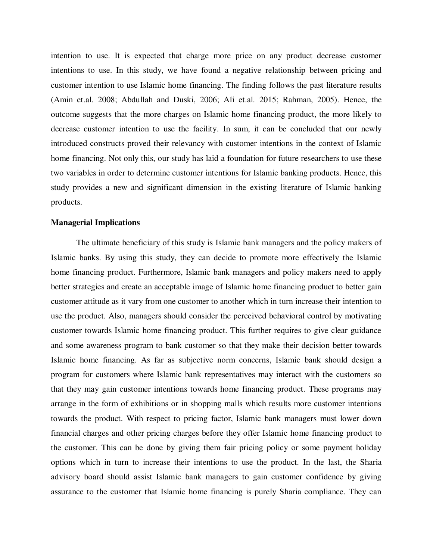intention to use. It is expected that charge more price on any product decrease customer intentions to use. In this study, we have found a negative relationship between pricing and customer intention to use Islamic home financing. The finding follows the past literature results (Amin et.al. 2008; Abdullah and Duski, 2006; Ali et.al. 2015; Rahman, 2005). Hence, the outcome suggests that the more charges on Islamic home financing product, the more likely to decrease customer intention to use the facility. In sum, it can be concluded that our newly introduced constructs proved their relevancy with customer intentions in the context of Islamic home financing. Not only this, our study has laid a foundation for future researchers to use these two variables in order to determine customer intentions for Islamic banking products. Hence, this study provides a new and significant dimension in the existing literature of Islamic banking products.

#### **Managerial Implications**

The ultimate beneficiary of this study is Islamic bank managers and the policy makers of Islamic banks. By using this study, they can decide to promote more effectively the Islamic home financing product. Furthermore, Islamic bank managers and policy makers need to apply better strategies and create an acceptable image of Islamic home financing product to better gain customer attitude as it vary from one customer to another which in turn increase their intention to use the product. Also, managers should consider the perceived behavioral control by motivating customer towards Islamic home financing product. This further requires to give clear guidance and some awareness program to bank customer so that they make their decision better towards Islamic home financing. As far as subjective norm concerns, Islamic bank should design a program for customers where Islamic bank representatives may interact with the customers so that they may gain customer intentions towards home financing product. These programs may arrange in the form of exhibitions or in shopping malls which results more customer intentions towards the product. With respect to pricing factor, Islamic bank managers must lower down financial charges and other pricing charges before they offer Islamic home financing product to the customer. This can be done by giving them fair pricing policy or some payment holiday options which in turn to increase their intentions to use the product. In the last, the Sharia advisory board should assist Islamic bank managers to gain customer confidence by giving assurance to the customer that Islamic home financing is purely Sharia compliance. They can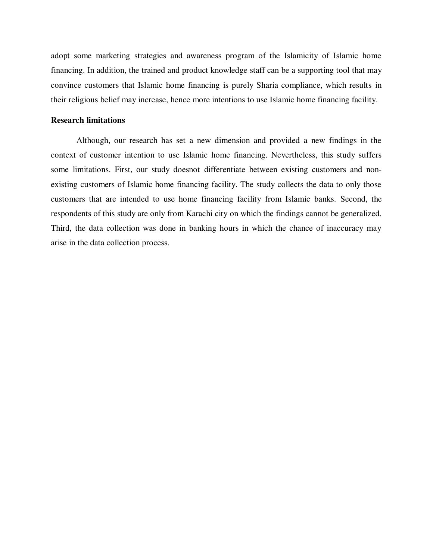adopt some marketing strategies and awareness program of the Islamicity of Islamic home financing. In addition, the trained and product knowledge staff can be a supporting tool that may convince customers that Islamic home financing is purely Sharia compliance, which results in their religious belief may increase, hence more intentions to use Islamic home financing facility.

## **Research limitations**

Although, our research has set a new dimension and provided a new findings in the context of customer intention to use Islamic home financing. Nevertheless, this study suffers some limitations. First, our study doesnot differentiate between existing customers and nonexisting customers of Islamic home financing facility. The study collects the data to only those customers that are intended to use home financing facility from Islamic banks. Second, the respondents of this study are only from Karachi city on which the findings cannot be generalized. Third, the data collection was done in banking hours in which the chance of inaccuracy may arise in the data collection process.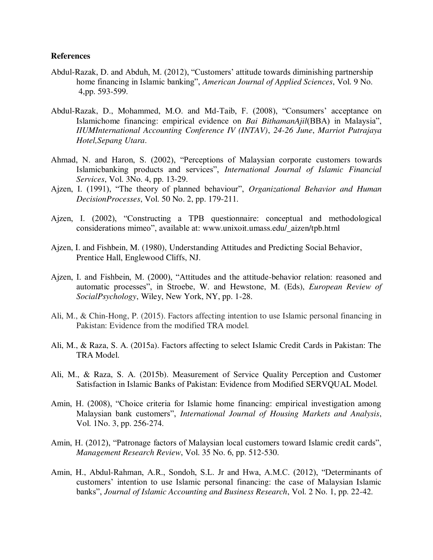## **References**

- Abdul-Razak, D. and Abduh, M. (2012), "Customers' attitude towards diminishing partnership home financing in Islamic banking", *American Journal of Applied Sciences*, Vol. 9 No. 4,pp. 593-599.
- Abdul-Razak, D., Mohammed, M.O. and Md-Taib, F. (2008), "Consumers' acceptance on Islamichome financing: empirical evidence on *Bai BithamanAjil*(BBA) in Malaysia", *IIUMInternational Accounting Conference IV (INTAV)*, *24-26 June*, *Marriot Putrajaya Hotel,Sepang Utara*.
- Ahmad, N. and Haron, S. (2002), "Perceptions of Malaysian corporate customers towards Islamicbanking products and services", *International Journal of Islamic Financial Services*, Vol. 3No. 4, pp. 13-29.
- Ajzen, I. (1991), "The theory of planned behaviour", *Organizational Behavior and Human DecisionProcesses*, Vol. 50 No. 2, pp. 179-211.
- Ajzen, I. (2002), "Constructing a TPB questionnaire: conceptual and methodological considerations mimeo", available at: [www.unixoit.umass.edu/\\_aizen/tpb.html](http://www.unixoit.umass.edu/_aizen/tpb.html)
- Ajzen, I. and Fishbein, M. (1980), Understanding Attitudes and Predicting Social Behavior, Prentice Hall, Englewood Cliffs, NJ.
- Ajzen, I. and Fishbein, M. (2000), "Attitudes and the attitude-behavior relation: reasoned and automatic processes", in Stroebe, W. and Hewstone, M. (Eds), *European Review of SocialPsychology*, Wiley, New York, NY, pp. 1-28.
- Ali, M., & Chin-Hong, P. (2015). Factors affecting intention to use Islamic personal financing in Pakistan: Evidence from the modified TRA model.
- Ali, M., & Raza, S. A. (2015a). Factors affecting to select Islamic Credit Cards in Pakistan: The TRA Model.
- Ali, M., & Raza, S. A. (2015b). Measurement of Service Quality Perception and Customer Satisfaction in Islamic Banks of Pakistan: Evidence from Modified SERVQUAL Model.
- Amin, H. (2008), "Choice criteria for Islamic home financing: empirical investigation among Malaysian bank customers", *International Journal of Housing Markets and Analysis*, Vol. 1No. 3, pp. 256-274.
- Amin, H. (2012), "Patronage factors of Malaysian local customers toward Islamic credit cards", *Management Research Review*, Vol. 35 No. 6, pp. 512-530.
- Amin, H., Abdul-Rahman, A.R., Sondoh, S.L. Jr and Hwa, A.M.C. (2012), "Determinants of customers' intention to use Islamic personal financing: the case of Malaysian Islamic banks", *Journal of Islamic Accounting and Business Research*, Vol. 2 No. 1, pp. 22-42.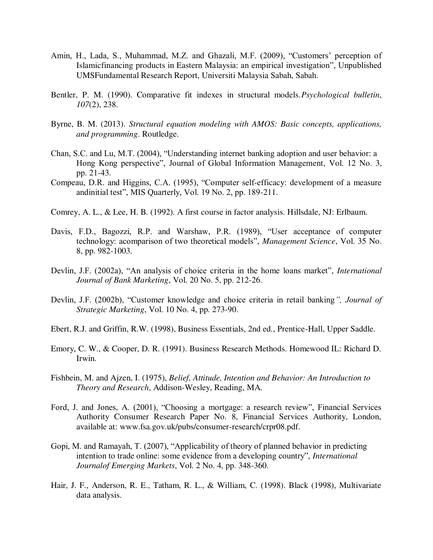- Amin, H., Lada, S., Muhammad, M.Z. and Ghazali, M.F. (2009), "Customers' perception of Islamicfinancing products in Eastern Malaysia: an empirical investigation", Unpublished UMSFundamental Research Report, Universiti Malaysia Sabah, Sabah.
- Bentler, P. M. (1990). Comparative fit indexes in structural models.*Psychological bulletin*, *107*(2), 238.
- Byrne, B. M. (2013). *Structural equation modeling with AMOS: Basic concepts, applications, and programming*. Routledge.
- Chan, S.C. and Lu, M.T. (2004), "Understanding internet banking adoption and user behavior: a Hong Kong perspective", Journal of Global Information Management, Vol. 12 No. 3, pp. 21-43.
- Compeau, D.R. and Higgins, C.A. (1995), "Computer self-efficacy: development of a measure andinitial test", MIS Quarterly, Vol. 19 No. 2, pp. 189-211.
- Comrey, A. L., & Lee, H. B. (1992). A first course in factor analysis. Hillsdale, NJ: Erlbaum.
- Davis, F.D., Bagozzi, R.P. and Warshaw, P.R. (1989), "User acceptance of computer technology: acomparison of two theoretical models", *Management Science*, Vol. 35 No. 8, pp. 982-1003.
- Devlin, J.F. (2002a), "An analysis of choice criteria in the home loans market", *International Journal of Bank Marketing*, Vol. 20 No. 5, pp. 212-26.
- Devlin, J.F. (2002b), "Customer knowledge and choice criteria in retail banking*", Journal of Strategic Marketing*, Vol. 10 No. 4, pp. 273-90.
- Ebert, R.J. and Griffin, R.W. (1998), Business Essentials, 2nd ed., Prentice-Hall, Upper Saddle.
- Emory, C. W., & Cooper, D. R. (1991). Business Research Methods. Homewood IL: Richard D. Irwin.
- Fishbein, M. and Ajzen, I. (1975), *Belief, Attitude, Intention and Behavior: An Introduction to Theory and Research*, Addison-Wesley, Reading, MA.
- Ford, J. and Jones, A. (2001), "Choosing a mortgage: a research review", Financial Services Authority Consumer Research Paper No. 8, Financial Services Authority, London, available at: [www.fsa.gov.uk/pubs/consumer-research/crpr08.pdf.](http://www.fsa.gov.uk/pubs/consumer-research/crpr08.pdf)
- Gopi, M. and Ramayah, T. (2007), "Applicability of theory of planned behavior in predicting intention to trade online: some evidence from a developing country", *International Journalof Emerging Markets*, Vol. 2 No. 4, pp. 348-360.
- Hair, J. F., Anderson, R. E., Tatham, R. L., & William, C. (1998). Black (1998), Multivariate data analysis.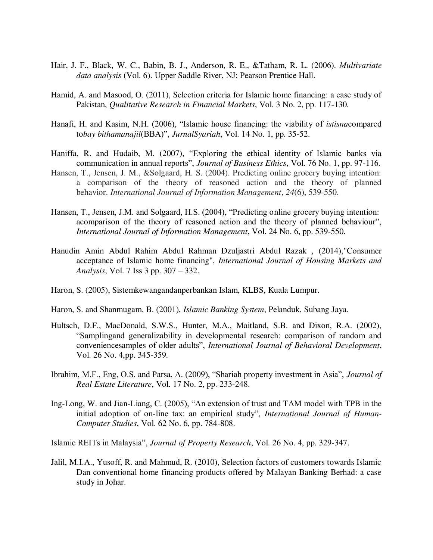- Hair, J. F., Black, W. C., Babin, B. J., Anderson, R. E., &Tatham, R. L. (2006). *Multivariate data analysis* (Vol. 6). Upper Saddle River, NJ: Pearson Prentice Hall.
- Hamid, A. and Masood, O. (2011), Selection criteria for Islamic home financing: a case study of Pakistan, *Qualitative Research in Financial Markets*, Vol. 3 No. 2, pp. 117-130.
- Hanafi, H. and Kasim, N.H. (2006), "Islamic house financing: the viability of *istisna*compared to*bay bithamanajil*(BBA)", *JurnalSyariah*, Vol. 14 No. 1, pp. 35-52.
- Haniffa, R. and Hudaib, M. (2007), "Exploring the ethical identity of Islamic banks via communication in annual reports", *Journal of Business Ethics*, Vol. 76 No. 1, pp. 97-116.
- Hansen, T., Jensen, J. M., &Solgaard, H. S. (2004). Predicting online grocery buying intention: a comparison of the theory of reasoned action and the theory of planned behavior. *International Journal of Information Management*, *24*(6), 539-550.
- Hansen, T., Jensen, J.M. and Solgaard, H.S. (2004), "Predicting online grocery buying intention: acomparison of the theory of reasoned action and the theory of planned behaviour", *International Journal of Information Management*, Vol. 24 No. 6, pp. 539-550.
- Hanudin Amin Abdul Rahim Abdul Rahman Dzuljastri Abdul Razak , (2014),"Consumer acceptance of Islamic home financing", *International Journal of Housing Markets and Analysis*, Vol. 7 Iss 3 pp. 307 – 332.
- Haron, S. (2005), Sistemkewangandanperbankan Islam, KLBS, Kuala Lumpur.
- Haron, S. and Shanmugam, B. (2001), *Islamic Banking System*, Pelanduk, Subang Jaya.
- Hultsch, D.F., MacDonald, S.W.S., Hunter, M.A., Maitland, S.B. and Dixon, R.A. (2002), "Samplingand generalizability in developmental research: comparison of random and conveniencesamples of older adults", *International Journal of Behavioral Development*, Vol. 26 No. 4,pp. 345-359.
- Ibrahim, M.F., Eng, O.S. and Parsa, A. (2009), "Shariah property investment in Asia", *Journal of Real Estate Literature*, Vol. 17 No. 2, pp. 233-248.
- Ing-Long, W. and Jian-Liang, C. (2005), "An extension of trust and TAM model with TPB in the initial adoption of on-line tax: an empirical study", *International Journal of Human- Computer Studies*, Vol. 62 No. 6, pp. 784-808.

Islamic REITs in Malaysia", *Journal of Property Research*, Vol. 26 No. 4, pp. 329-347.

Jalil, M.I.A., Yusoff, R. and Mahmud, R. (2010), Selection factors of customers towards Islamic Dan conventional home financing products offered by Malayan Banking Berhad: a case study in Johar.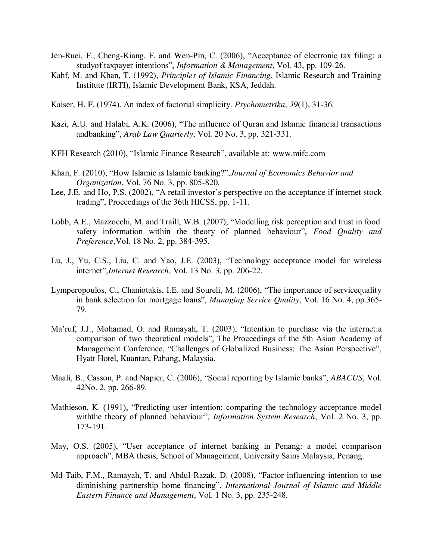- Jen-Ruei, F., Cheng-Kiang, F. and Wen-Pin, C. (2006), "Acceptance of electronic tax filing: a studyof taxpayer intentions", *Information & Management*, Vol. 43, pp. 109-26.
- Kahf, M. and Khan, T. (1992), *Principles of Islamic Financing*, Islamic Research and Training Institute (IRTI), Islamic Development Bank, KSA, Jeddah.
- Kaiser, H. F. (1974). An index of factorial simplicity. *Psychometrika*, *39*(1), 31-36.
- Kazi, A.U. and Halabi, A.K. (2006), "The influence of Quran and Islamic financial transactions andbanking", *Arab Law Quarterly*, Vol. 20 No. 3, pp. 321-331.
- KFH Research (2010), "Islamic Finance Research", available at: [www.mifc.com](http://www.mifc.com/)
- Khan, F. (2010), "How Islamic is Islamic banking?",*Journal of Economics Behavior and Organization*, Vol. 76 No. 3, pp. 805-820.
- Lee, J.E. and Ho, P.S. (2002), "A retail investor's perspective on the acceptance if internet stock trading", Proceedings of the 36th HICSS, pp. 1-11.
- Lobb, A.E., Mazzocchi, M. and Traill, W.B. (2007), "Modelling risk perception and trust in food safety information within the theory of planned behaviour", *Food Quality and Preference*,Vol. 18 No. 2, pp. 384-395.
- Lu, J., Yu, C.S., Liu, C. and Yao, J.E. (2003), "Technology acceptance model for wireless internet",*Internet Research*, Vol. 13 No. 3, pp. 206-22.
- Lymperopoulos, C., Chaniotakis, I.E. and Soureli, M. (2006), "The importance of servicequality in bank selection for mortgage loans", *Managing Service Quality*, Vol. 16 No. 4, pp.365- 79.
- Ma'ruf, J.J., Mohamad, O. and Ramayah, T. (2003), "Intention to purchase via the internet:a comparison of two theoretical models", The Proceedings of the 5th Asian Academy of Management Conference, "Challenges of Globalized Business: The Asian Perspective", Hyatt Hotel, Kuantan, Pahang, Malaysia.
- Maali, B., Casson, P. and Napier, C. (2006), "Social reporting by Islamic banks", *ABACUS*, Vol. 42No. 2, pp. 266-89.
- Mathieson, K. (1991), "Predicting user intention: comparing the technology acceptance model withthe theory of planned behaviour", *Information System Research*, Vol. 2 No. 3, pp. 173-191.
- May, O.S. (2005), "User acceptance of internet banking in Penang: a model comparison approach", MBA thesis, School of Management, University Sains Malaysia, Penang.
- Md-Taib, F.M., Ramayah, T. and Abdul-Razak, D. (2008), "Factor influencing intention to use diminishing partnership home financing", *International Journal of Islamic and Middle Eastern Finance and Management*, Vol. 1 No. 3, pp. 235-248.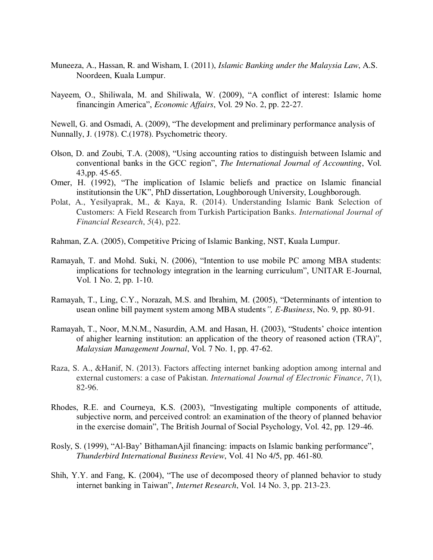- Muneeza, A., Hassan, R. and Wisham, I. (2011), *Islamic Banking under the Malaysia Law*, A.S. Noordeen, Kuala Lumpur.
- Nayeem, O., Shiliwala, M. and Shiliwala, W. (2009), "A conflict of interest: Islamic home financingin America", *Economic Affairs*, Vol. 29 No. 2, pp. 22-27.

Newell, G. and Osmadi, A. (2009), "The development and preliminary performance analysis of Nunnally, J. (1978). C.(1978). Psychometric theory.

- Olson, D. and Zoubi, T.A. (2008), "Using accounting ratios to distinguish between Islamic and conventional banks in the GCC region", *The International Journal of Accounting*, Vol. 43,pp. 45-65.
- Omer, H. (1992), "The implication of Islamic beliefs and practice on Islamic financial institutionsin the UK", PhD dissertation, Loughborough University, Loughborough.
- Polat, A., Yesilyaprak, M., & Kaya, R. (2014). Understanding Islamic Bank Selection of Customers: A Field Research from Turkish Participation Banks. *International Journal of Financial Research*, *5*(4), p22.
- Rahman, Z.A. (2005), Competitive Pricing of Islamic Banking, NST, Kuala Lumpur.
- Ramayah, T. and Mohd. Suki, N. (2006), "Intention to use mobile PC among MBA students: implications for technology integration in the learning curriculum", UNITAR E-Journal, Vol. 1 No. 2, pp. 1-10.
- Ramayah, T., Ling, C.Y., Norazah, M.S. and Ibrahim, M. (2005), "Determinants of intention to usean online bill payment system among MBA students*", E-Business*, No. 9, pp. 80-91.
- Ramayah, T., Noor, M.N.M., Nasurdin, A.M. and Hasan, H. (2003), "Students' choice intention of ahigher learning institution: an application of the theory of reasoned action (TRA)", *Malaysian Management Journal*, Vol. 7 No. 1, pp. 47-62.
- Raza, S. A., &Hanif, N. (2013). Factors affecting internet banking adoption among internal and external customers: a case of Pakistan. *International Journal of Electronic Finance*, *7*(1), 82-96.
- Rhodes, R.E. and Courneya, K.S. (2003), "Investigating multiple components of attitude, subjective norm, and perceived control: an examination of the theory of planned behavior in the exercise domain", The British Journal of Social Psychology, Vol. 42, pp. 129-46.
- Rosly, S. (1999), "Al-Bay' BithamanAjil financing: impacts on Islamic banking performance", *Thunderbird International Business Review*, Vol. 41 No 4/5, pp. 461-80.
- Shih, Y.Y. and Fang, K. (2004), "The use of decomposed theory of planned behavior to study internet banking in Taiwan", *Internet Research*, Vol. 14 No. 3, pp. 213-23.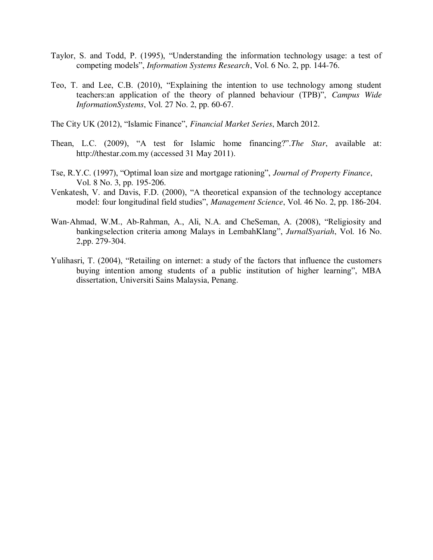- Taylor, S. and Todd, P. (1995), "Understanding the information technology usage: a test of competing models", *Information Systems Research*, Vol. 6 No. 2, pp. 144-76.
- Teo, T. and Lee, C.B. (2010), "Explaining the intention to use technology among student teachers:an application of the theory of planned behaviour (TPB)", *Campus Wide InformationSystems*, Vol. 27 No. 2, pp. 60-67.
- The City UK (2012), "Islamic Finance", *Financial Market Series*, March 2012.
- Thean, L.C. (2009), "A test for Islamic home financing?".*The Star*, available at: http://thestar.com.my (accessed 31 May 2011).
- Tse, R.Y.C. (1997), "Optimal loan size and mortgage rationing", *Journal of Property Finance*, Vol. 8 No. 3, pp. 195-206.
- Venkatesh, V. and Davis, F.D. (2000), "A theoretical expansion of the technology acceptance model: four longitudinal field studies", *Management Science*, Vol. 46 No. 2, pp. 186-204.
- Wan-Ahmad, W.M., Ab-Rahman, A., Ali, N.A. and CheSeman, A. (2008), "Religiosity and bankingselection criteria among Malays in LembahKlang", *JurnalSyariah*, Vol. 16 No. 2,pp. 279-304.
- Yulihasri, T. (2004), "Retailing on internet: a study of the factors that influence the customers buying intention among students of a public institution of higher learning", MBA dissertation, Universiti Sains Malaysia, Penang.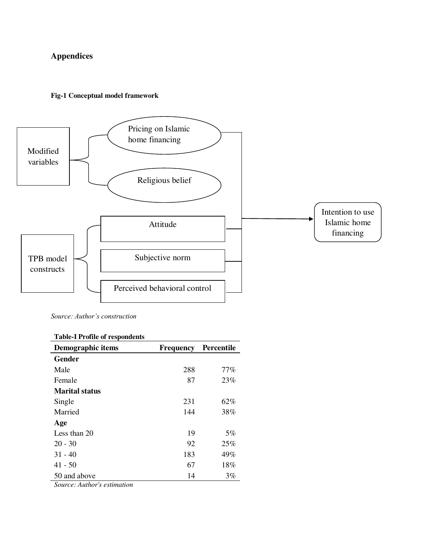## **Appendices**

#### **Fig-1 Conceptual model framework**



*Source: Author's construction*

## **Table-I Profile of respondents**

| Demographic items     | Frequency | Percentile |
|-----------------------|-----------|------------|
| Gender                |           |            |
| Male                  | 288       | $77\%$     |
| Female                | 87        | 23%        |
| <b>Marital status</b> |           |            |
| Single                | 231       | 62%        |
| Married               | 144       | 38%        |
| Age                   |           |            |
| Less than 20          | 19        | 5%         |
| $20 - 30$             | 92        | 25%        |
| $31 - 40$             | 183       | 49%        |
| $41 - 50$             | 67        | 18%        |
| 50 and above          | 14        | 3%         |

*Source: Author's estimation*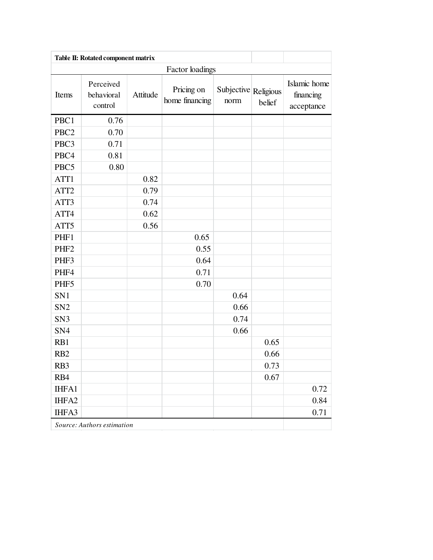|                  |                                    |          | Factor loadings              |                              |        |                                         |
|------------------|------------------------------------|----------|------------------------------|------------------------------|--------|-----------------------------------------|
| Items            | Perceived<br>behavioral<br>control | Attitude | Pricing on<br>home financing | Subjective Religious<br>norm | belief | Islamic home<br>financing<br>acceptance |
| PBC1             | 0.76                               |          |                              |                              |        |                                         |
| PBC <sub>2</sub> | 0.70                               |          |                              |                              |        |                                         |
| PBC3             | 0.71                               |          |                              |                              |        |                                         |
| PBC4             | 0.81                               |          |                              |                              |        |                                         |
| PBC5             | 0.80                               |          |                              |                              |        |                                         |
| ATT1             |                                    | 0.82     |                              |                              |        |                                         |
| ATT <sub>2</sub> |                                    | 0.79     |                              |                              |        |                                         |
| ATT3             |                                    | 0.74     |                              |                              |        |                                         |
| ATT4             |                                    | 0.62     |                              |                              |        |                                         |
| ATT5             |                                    | 0.56     |                              |                              |        |                                         |
| PHF1             |                                    |          | 0.65                         |                              |        |                                         |
| PHF <sub>2</sub> |                                    |          | 0.55                         |                              |        |                                         |
| PHF3             |                                    |          | 0.64                         |                              |        |                                         |
| PHF4             |                                    |          | 0.71                         |                              |        |                                         |
| PHF5             |                                    |          | 0.70                         |                              |        |                                         |
| SN1              |                                    |          |                              | 0.64                         |        |                                         |
| SN <sub>2</sub>  |                                    |          |                              | 0.66                         |        |                                         |
| SN <sub>3</sub>  |                                    |          |                              | 0.74                         |        |                                         |
| SN <sub>4</sub>  |                                    |          |                              | 0.66                         |        |                                         |
| RB1              |                                    |          |                              |                              | 0.65   |                                         |
| RB <sub>2</sub>  |                                    |          |                              |                              | 0.66   |                                         |
| RB <sub>3</sub>  |                                    |          |                              |                              | 0.73   |                                         |
| RB4              |                                    |          |                              |                              | 0.67   |                                         |
| IHFA1            |                                    |          |                              |                              |        | 0.72                                    |
| IHFA2            |                                    |          |                              |                              |        | 0.84                                    |
| IHFA3            |                                    |          |                              |                              |        | 0.71                                    |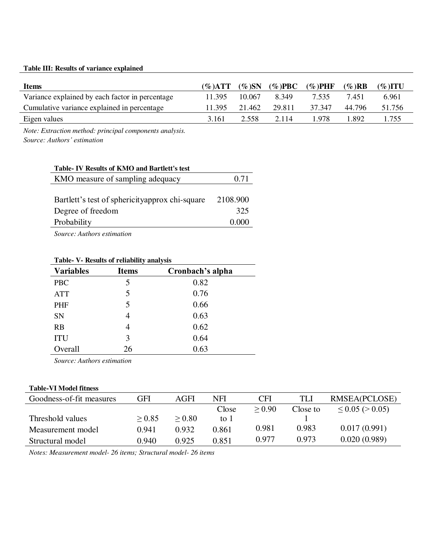## **Table III: Results of variance explained**

| <b>Items</b>                                    | (%) $ATT$ | $(\% )SN$ | $(\%$ )PBC | $(\%$ )PHF | $(\%$ )RB | $(\%$ )ITU |
|-------------------------------------------------|-----------|-----------|------------|------------|-----------|------------|
| Variance explained by each factor in percentage | 11.395    | 10.067    | 8.349      | 7.535      | 7.451     | 6.961      |
| Cumulative variance explained in percentage     | 11.395    | 21.462    | 29.811     | 37 347     | 44.796    | 51.756     |
| Eigen values                                    | 3.161     | 2.558     | 2.114      | .978       | 1.892     | 1.755      |

*Note: Extraction method: principal components analysis. Source: Authors' estimation*

| Table- IV Results of KMO and Bartlett's test    |           |
|-------------------------------------------------|-----------|
| KMO measure of sampling adequacy                | 0.71      |
|                                                 |           |
| Bartlett's test of sphericity approx chi-square | 2108.900  |
| Degree of freedom                               | 325       |
| Probability                                     | (1)(1)(1) |
|                                                 |           |

*Source: Authors estimation* 

| TRAIL<br>$\mathbf{v}$<br><i>Results</i> of Femability and sho |              |                  |  |  |  |  |
|---------------------------------------------------------------|--------------|------------------|--|--|--|--|
| <b>Variables</b>                                              | <b>Items</b> | Cronbach's alpha |  |  |  |  |
| <b>PBC</b>                                                    | 5            | 0.82             |  |  |  |  |
| <b>ATT</b>                                                    | 5            | 0.76             |  |  |  |  |
| PHF                                                           | 5            | 0.66             |  |  |  |  |
| SN                                                            | 4            | 0.63             |  |  |  |  |
| RB                                                            | 4            | 0.62             |  |  |  |  |
| <b>ITU</b>                                                    | 3            | 0.64             |  |  |  |  |
| Overall                                                       | 26           | 0.63             |  |  |  |  |
|                                                               |              |                  |  |  |  |  |

#### **Table- V- Results of reliability analysis**

*Source: Authors estimation* 

#### **Table-VI Model fitness**

| Goodness-of-fit measures | GFI    | AGFI   | NFI   | <b>CFI</b> | <b>TLI</b> | RMSEA(PCLOSE)           |
|--------------------------|--------|--------|-------|------------|------------|-------------------------|
|                          |        |        | Close | > 0.90     | Close to   | $\leq$ 0.05 ( $>$ 0.05) |
| Threshold values         | > 0.85 | > 0.80 | to 1  |            |            |                         |
| Measurement model        | 0.941  | 0.932  | 0.861 | 0.981      | 0.983      | 0.017(0.991)            |
| Structural model         | 0.940  | 0.925  | 0.851 | 0.977      | 0.973      | 0.020(0.989)            |

*Notes: Measurement model- 26 items; Structural model- 26 items*